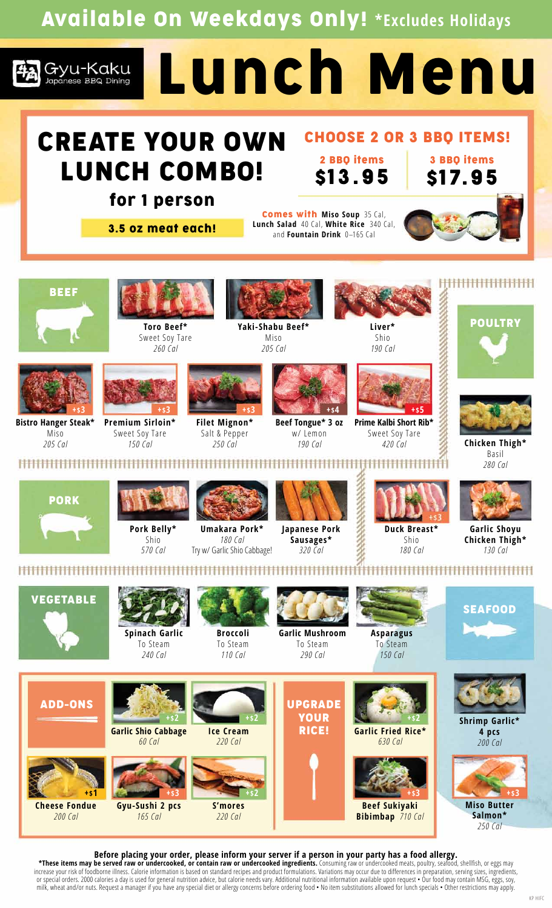Available On Weekdays Only! **\*Excludes Holidays**



## CREATE YOUR OWN LUNCH COMBO!

## CHOOSE 2 OR 3 BBQ ITEMS!

2 BBQ items \$13.95

for 1 person 3.5 oz meat each!

Comes with **Miso Soup** 35 Cal, **Lunch Salad** 40 Cal, **White Rice** 340 Cal, and **Fountain Drink** 0–165 Cal



3 BBQ items





**Premium Sirloin\*** Sweet Soy Tare *150 Cal*



**Filet Mignon\*** Salt & Pepper *250 Cal*



**Yaki-Shabu Beef\***

**Beef Tongue\* 3 oz** w/ Lemon *190 Cal*



*190 Cal*



**Prime Kalbi Short Rib\*** Sweet Soy Tare *420 Cal*

#### <del>|||||||||||||||||||</del>





**Chicken Thigh\*** Basil *280 Cal*



**HHHHHHHHH** 

**Bistro Hanger Steak\*** Miso *205 Cal*



**Pork Belly\*** Shio *570 Cal*



**Umakara Pork\*** *180 Cal* Try w/ Garlic Shio Cabbage!

\*\*\*\*\*\*\*\*\*\*\*\*\*\*\*\*\*\*\*\*



*320 Cal*



**Garlic Shoyu Chicken Thigh\*** *130 Cal*

**SEAFOOD** 



ADD-ONS

**Cheese Fondue** *200 Cal*

**+\$1**



**Spinach Garlic** To Steam *240 Cal*

**Garlic Shio Cabbage** *60 Cal*

**Gyu-Sushi 2 pcs** *165 Cal*



To Steam *110 Cal*

**Ice Cream** *220 Cal*

**+\$2 +\$2**

**S'mores** *220 Cal*



UPGRADE YOUR RICE!

To Steam *290 Cal*



**Asparagus** To Steam *150 Cal*

**Beef Sukiyaki Bibimbap** *710 Cal*

**Garlic Fried Rice\*** *630 Cal*

**+\$2**



**Shrimp Garlic\* 4 pcs**  *200 Cal*



*250 Cal*

#### **Before placing your order, please inform your server if a person in your party has a food allergy.**

**\*These items may be served raw or undercooked, or contain raw or undercooked ingredients.** Consuming raw or undercooked meats, poultry, seafood, shellfish, or eggs may increase your risk of foodborne illness. Calorie information is based on standard recipes and product formulations. Variations may occur due to differences in preparation, serving sizes, ingredients, or special orders. 2000 calories a day is used for general nutrition advice, but calorie needs vary. Additional nutritional information available upon request • Our food may contain MSG, eggs, soy, milk, wheat and/or nuts. Request a manager if you have any special diet or allergy concerns before ordering food • No item substitutions allowed for lunch specials • Other restrictions may apply.

**+\$3 +\$2 +\$3**